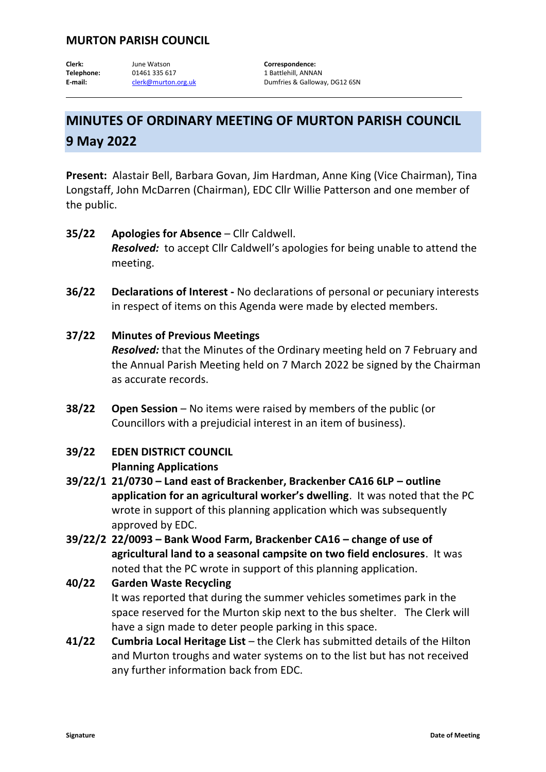## **MURTON PARISH COUNCIL**

Clerk: **June Watson Correspondence:** Telephone: 01461 335 617 1 Battlehill, ANNAN

E-mail: [clerk@murton.org.uk](mailto:clerk@murton.org.uk) Dumfries & Galloway, DG12 6SN

# **MINUTES OF ORDINARY MEETING OF MURTON PARISH COUNCIL 9 May 2022**

**Present:** Alastair Bell, Barbara Govan, Jim Hardman, Anne King (Vice Chairman), Tina Longstaff, John McDarren (Chairman), EDC Cllr Willie Patterson and one member of the public.

- **35/22 Apologies for Absence**  Cllr Caldwell. *Resolved:* to accept Cllr Caldwell's apologies for being unable to attend the meeting.
- **36/22 Declarations of Interest -** No declarations of personal or pecuniary interests in respect of items on this Agenda were made by elected members.
- **37/22 Minutes of Previous Meetings** *Resolved:* that the Minutes of the Ordinary meeting held on 7 February and the Annual Parish Meeting held on 7 March 2022 be signed by the Chairman as accurate records.
- **38/22 Open Session** No items were raised by members of the public (or Councillors with a prejudicial interest in an item of business).

## **39/22 EDEN DISTRICT COUNCIL Planning Applications**

- **39/22/1 21/0730 – Land east of Brackenber, Brackenber CA16 6LP – outline application for an agricultural worker's dwelling**. It was noted that the PC wrote in support of this planning application which was subsequently approved by EDC.
- **39/22/2 22/0093 – Bank Wood Farm, Brackenber CA16 – change of use of agricultural land to a seasonal campsite on two field enclosures**. It was noted that the PC wrote in support of this planning application.
- **40/22 Garden Waste Recycling** It was reported that during the summer vehicles sometimes park in the space reserved for the Murton skip next to the bus shelter. The Clerk will have a sign made to deter people parking in this space.
- **41/22 Cumbria Local Heritage List** the Clerk has submitted details of the Hilton and Murton troughs and water systems on to the list but has not received any further information back from EDC.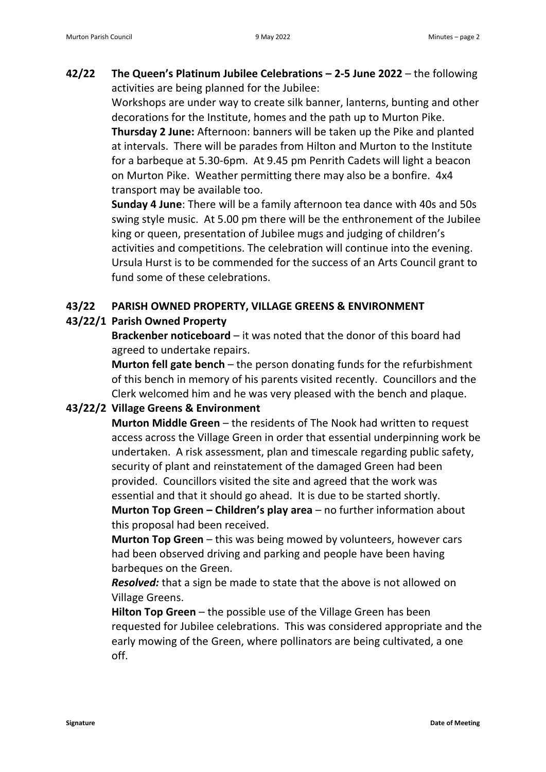**42/22 The Queen's Platinum Jubilee Celebrations – 2-5 June 2022** – the following activities are being planned for the Jubilee:

> Workshops are under way to create silk banner, lanterns, bunting and other decorations for the Institute, homes and the path up to Murton Pike. **Thursday 2 June:** Afternoon: banners will be taken up the Pike and planted at intervals. There will be parades from Hilton and Murton to the Institute for a barbeque at 5.30-6pm. At 9.45 pm Penrith Cadets will light a beacon on Murton Pike. Weather permitting there may also be a bonfire. 4x4 transport may be available too.

> **Sunday 4 June**: There will be a family afternoon tea dance with 40s and 50s swing style music. At 5.00 pm there will be the enthronement of the Jubilee king or queen, presentation of Jubilee mugs and judging of children's activities and competitions. The celebration will continue into the evening. Ursula Hurst is to be commended for the success of an Arts Council grant to fund some of these celebrations.

### **43/22 PARISH OWNED PROPERTY, VILLAGE GREENS & ENVIRONMENT**

## **43/22/1 Parish Owned Property**

**Brackenber noticeboard** – it was noted that the donor of this board had agreed to undertake repairs.

**Murton fell gate bench** – the person donating funds for the refurbishment of this bench in memory of his parents visited recently. Councillors and the Clerk welcomed him and he was very pleased with the bench and plaque.

### **43/22/2 Village Greens & Environment**

**Murton Middle Green** – the residents of The Nook had written to request access across the Village Green in order that essential underpinning work be undertaken. A risk assessment, plan and timescale regarding public safety, security of plant and reinstatement of the damaged Green had been provided. Councillors visited the site and agreed that the work was essential and that it should go ahead. It is due to be started shortly.

**Murton Top Green – Children's play area** – no further information about this proposal had been received.

**Murton Top Green** – this was being mowed by volunteers, however cars had been observed driving and parking and people have been having barbeques on the Green.

*Resolved:* that a sign be made to state that the above is not allowed on Village Greens.

**Hilton Top Green** – the possible use of the Village Green has been requested for Jubilee celebrations. This was considered appropriate and the early mowing of the Green, where pollinators are being cultivated, a one off.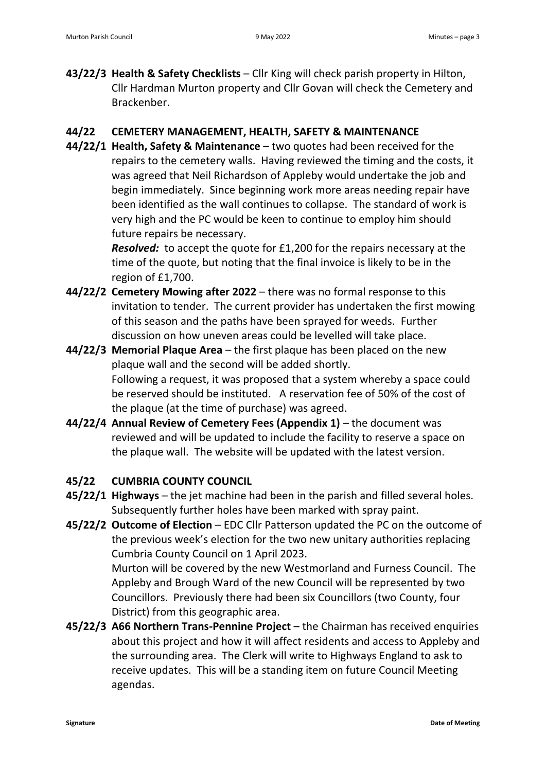**43/22/3 Health & Safety Checklists** – Cllr King will check parish property in Hilton, Cllr Hardman Murton property and Cllr Govan will check the Cemetery and Brackenber.

#### **44/22 CEMETERY MANAGEMENT, HEALTH, SAFETY & MAINTENANCE**

**44/22/1 Health, Safety & Maintenance** – two quotes had been received for the repairs to the cemetery walls. Having reviewed the timing and the costs, it was agreed that Neil Richardson of Appleby would undertake the job and begin immediately. Since beginning work more areas needing repair have been identified as the wall continues to collapse. The standard of work is very high and the PC would be keen to continue to employ him should future repairs be necessary.

> *Resolved:* to accept the quote for £1,200 for the repairs necessary at the time of the quote, but noting that the final invoice is likely to be in the region of £1,700.

- **44/22/2 Cemetery Mowing after 2022** there was no formal response to this invitation to tender. The current provider has undertaken the first mowing of this season and the paths have been sprayed for weeds. Further discussion on how uneven areas could be levelled will take place.
- **44/22/3 Memorial Plaque Area**  the first plaque has been placed on the new plaque wall and the second will be added shortly. Following a request, it was proposed that a system whereby a space could be reserved should be instituted. A reservation fee of 50% of the cost of the plaque (at the time of purchase) was agreed.
- **44/22/4 Annual Review of Cemetery Fees (Appendix 1)**  the document was reviewed and will be updated to include the facility to reserve a space on the plaque wall. The website will be updated with the latest version.

### **45/22 CUMBRIA COUNTY COUNCIL**

- **45/22/1 Highways** the jet machine had been in the parish and filled several holes. Subsequently further holes have been marked with spray paint.
- **45/22/2 Outcome of Election** EDC Cllr Patterson updated the PC on the outcome of the previous week's election for the two new unitary authorities replacing Cumbria County Council on 1 April 2023.

Murton will be covered by the new Westmorland and Furness Council. The Appleby and Brough Ward of the new Council will be represented by two Councillors. Previously there had been six Councillors (two County, four District) from this geographic area.

**45/22/3 A66 Northern Trans-Pennine Project** – the Chairman has received enquiries about this project and how it will affect residents and access to Appleby and the surrounding area. The Clerk will write to Highways England to ask to receive updates. This will be a standing item on future Council Meeting agendas.